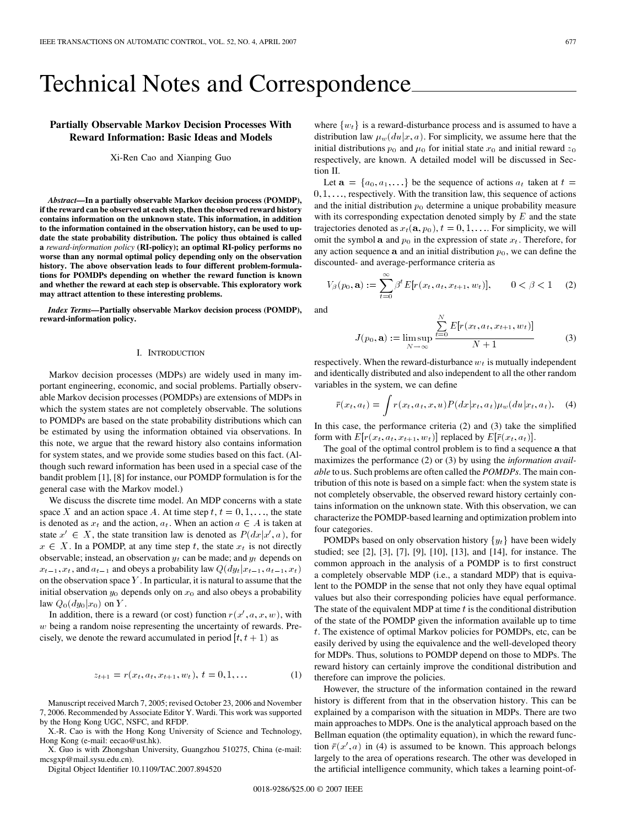# <span id="page-0-0"></span>Technical Notes and Correspondence

# **Partially Observable Markov Decision Processes With Reward Information: Basic Ideas and Models**

Xi-Ren Cao and Xianping Guo

*Abstract—***In a partially observable Markov decision process (POMDP), if the reward can be observed at each step, then the observed reward history contains information on the unknown state. This information, in addition to the information contained in the observation history, can be used to update the state probability distribution. The policy thus obtained is called a** *reward-information policy* **(RI-policy); an optimal RI-policy performs no worse than any normal optimal policy depending only on the observation history. The above observation leads to four different problem-formulations for POMDPs depending on whether the reward function is known and whether the reward at each step is observable. This exploratory work may attract attention to these interesting problems.**

*Index Terms—***Partially observable Markov decision process (POMDP), reward-information policy.**

#### I. INTRODUCTION

Markov decision processes (MDPs) are widely used in many important engineering, economic, and social problems. Partially observable Markov decision processes (POMDPs) are extensions of MDPs in which the system states are not completely observable. The solutions to POMDPs are based on the state probability distributions which can be estimated by using the information obtained via observations. In this note, we argue that the reward history also contains information for system states, and we provide some studies based on this fact. (Although such reward information has been used in a special case of the bandit problem [\[1\], \[8\]](#page-3-0) for instance, our POMDP formulation is for the general case with the Markov model.)

We discuss the discrete time model. An MDP concerns with a state space X and an action space A. At time step  $t, t = 0, 1, \ldots$ , the state is denoted as  $x_t$  and the action,  $a_t$ . When an action  $a \in A$  is taken at state  $x' \in X$ , the state transition law is denoted as  $P(dx|x', a)$ , for  $x \in X$ . In a POMDP, at any time step t, the state  $x_t$  is not directly observable; instead, an observation  $y_t$  can be made; and  $y_t$  depends on  $x_{t-1}, x_t$ , and  $a_{t-1}$  and obeys a probability law  $Q(dy_t|x_{t-1}, a_{t-1}, x_t)$ on the observation space  $Y$ . In particular, it is natural to assume that the initial observation  $y_0$  depends only on  $x_0$  and also obeys a probability law  $Q_0(dy_0|x_0)$  on Y.

In addition, there is a reward (or cost) function  $r(x', a, x, w)$ , with w being a random noise representing the uncertainty of rewards. Precisely, we denote the reward accumulated in period  $[t, t + 1)$  as

$$
z_{t+1} = r(x_t, a_t, x_{t+1}, w_t), t = 0, 1, \dots
$$
 (1)

Manuscript received March 7, 2005; revised October 23, 2006 and November 7, 2006. Recommended by Associate Editor Y. Wardi. This work was supported by the Hong Kong UGC, NSFC, and RFDP.

X.-R. Cao is with the Hong Kong University of Science and Technology, Hong Kong (e-mail: eecao@ust.hk).

X. Guo is with Zhongshan University, Guangzhou 510275, China (e-mail: mcsgxp@mail.sysu.edu.cn).

Digital Object Identifier 10.1109/TAC.2007.894520

where  $\{w_t\}$  is a reward-disturbance process and is assumed to have a distribution law  $\mu_w(du|x, a)$ . For simplicity, we assume here that the initial distributions  $p_0$  and  $\mu_0$  for initial state  $x_0$  and initial reward  $z_0$ respectively, are known. A detailed model will be discussed in [Sec](#page-1-0)tion II.

Let  $a = \{a_0, a_1, ...\}$  be the sequence of actions  $a_t$  taken at  $t =$  $0, 1, \ldots$ , respectively. With the transition law, this sequence of actions and the initial distribution  $p_0$  determine a unique probability measure with its corresponding expectation denoted simply by  $E$  and the state trajectories denoted as  $x_t(\mathbf{a}, p_0), t = 0, 1, \dots$  For simplicity, we will omit the symbol a and  $p_0$  in the expression of state  $x_t$ . Therefore, for any action sequence a and an initial distribution  $p_0$ , we can define the discounted- and average-performance criteria as

$$
V_{\beta}(p_0, \mathbf{a}) := \sum_{t=0}^{\infty} \beta^t E[r(x_t, a_t, x_{t+1}, w_t)], \qquad 0 < \beta < 1 \tag{2}
$$

and

$$
J(p_0, \mathbf{a}) := \limsup_{N \to \infty} \frac{\sum_{t=0}^{N} E[r(x_t, a_t, x_{t+1}, w_t)]}{N+1}
$$
(3)

respectively. When the reward-disturbance  $w_t$  is mutually independent and identically distributed and also independent to all the other random variables in the system, we can define

$$
\bar{r}(x_t, a_t) = \int r(x_t, a_t, x, u) P(dx | x_t, a_t) \mu_w(du | x_t, a_t).
$$
 (4)

In this case, the performance criteria (2) and (3) take the simplified form with  $E[r(x_t, a_t, x_{t+1}, w_t)]$  replaced by  $E[\bar{r}(x_t, a_t)]$ .

The goal of the optimal control problem is to find a sequence a that maximizes the performance (2) or (3) by using the *information available* to us. Such problems are often called the *POMDPs*. The main contribution of this note is based on a simple fact: when the system state is not completely observable, the observed reward history certainly contains information on the unknown state. With this observation, we can characterize the POMDP-based learning and optimization problem into four categories.

POMDPs based on only observation history  $\{y_t\}$  have been widely studied; see [\[2\]](#page-3-0), [\[3\]](#page-3-0), [\[7\]](#page-3-0), [\[9\]](#page-3-0), [\[10\],](#page-3-0) [\[13\]](#page-4-0), and [\[14\],](#page-4-0) for instance. The common approach in the analysis of a POMDP is to first construct a completely observable MDP (i.e., a standard MDP) that is equivalent to the POMDP in the sense that not only they have equal optimal values but also their corresponding policies have equal performance. The state of the equivalent MDP at time  $t$  is the conditional distribution of the state of the POMDP given the information available up to time t. The existence of optimal Markov policies for POMDPs, etc, can be easily derived by using the equivalence and the well-developed theory for MDPs. Thus, solutions to POMDP depend on those to MDPs. The reward history can certainly improve the conditional distribution and therefore can improve the policies.

However, the structure of the information contained in the reward history is different from that in the observation history. This can be explained by a comparison with the situation in MDPs. There are two main approaches to MDPs. One is the analytical approach based on the Bellman equation (the optimality equation), in which the reward function  $\overline{r}(x', a)$  in (4) is assumed to be known. This approach belongs largely to the area of operations research. The other was developed in the artificial intelligence community, which takes a learning point-of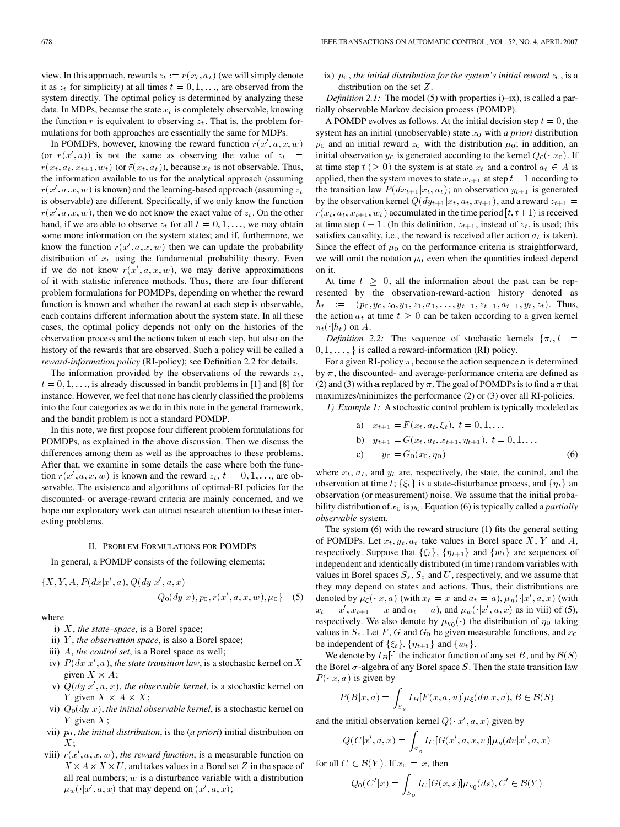<span id="page-1-0"></span>view. In this approach, rewards  $\overline{z}_t := \overline{r}(x_t, a_t)$  (we will simply denote it as  $z_t$  for simplicity) at all times  $t = 0, 1, \ldots$ , are observed from the system directly. The optimal policy is determined by analyzing these data. In MDPs, because the state  $x_t$  is completely observable, knowing the function  $\bar{r}$  is equivalent to observing  $z_t$ . That is, the problem formulations for both approaches are essentially the same for MDPs.

In POMDPs, however, knowing the reward function  $r(x', a, x, w)$ (or  $\bar{r}(x', a)$ ) is not the same as observing the value of  $z_t =$  $r(x_t, a_t, x_{t+1}, w_t)$  (or  $\bar{r}(x_t, a_t)$ ), because  $x_t$  is not observable. Thus, the information available to us for the analytical approach (assuming  $r(x', a, x, w)$  is known) and the learning-based approach (assuming  $z_t$ ) is observable) are different. Specifically, if we only know the function  $r(x', a, x, w)$ , then we do not know the exact value of  $z_t$ . On the other hand, if we are able to observe  $z_t$  for all  $t = 0, 1, \ldots$ , we may obtain some more information on the system states; and if, furthermore, we know the function  $r(x', a, x, w)$  then we can update the probability distribution of  $x_t$  using the fundamental probability theory. Even if we do not know  $r(x', a, x, w)$ , we may derive approximations of it with statistic inference methods. Thus, there are four different problem formulations for POMDPs, depending on whether the reward function is known and whether the reward at each step is observable, each contains different information about the system state. In all these cases, the optimal policy depends not only on the histories of the observation process and the actions taken at each step, but also on the history of the rewards that are observed. Such a policy will be called a *reward-information policy* (RI-policy); see Definition 2.2 for details.

The information provided by the observations of the rewards  $z_t$ ,  $t = 0, 1, \ldots$ , is already discussed in bandit problems in [\[1\]](#page-3-0) and [\[8\]](#page-3-0) for instance. However, we feel that none has clearly classified the problems into the four categories as we do in this note in the general framework, and the bandit problem is not a standard POMDP.

In this note, we first propose four different problem formulations for POMDPs, as explained in the above discussion. Then we discuss the differences among them as well as the approaches to these problems. After that, we examine in some details the case where both the function  $r(x', a, x, w)$  is known and the reward  $z_t, t = 0, 1, \ldots$ , are observable. The existence and algorithms of optimal-RI policies for the discounted- or average-reward criteria are mainly concerned, and we hope our exploratory work can attract research attention to these interesting problems.

#### II. PROBLEM FORMULATIONS FOR POMDPS

In general, a POMDP consists of the following elements:

$$
\{X, Y, A, P(dx|x', a), Q(dy|x', a, x) \newline Q_0(dy|x), p_0, r(x', a, x, w), \mu_0\} \quad (5)
$$

where

- i) X, *the state–space*, is a Borel space;
- ii) Y , *the observation space*, is also a Borel space;
- iii) A, *the control set*, is a Borel space as well;
- iv)  $P(dx|x', a)$ , *the state transition law*, is a stochastic kernel on X given  $X \times A$ ;
- v)  $Q(dy|x', a, x)$ , *the observable kernel*, is a stochastic kernel on Y given  $X \times A \times X$ ;
- vi)  $Q_0(dy|x)$ , *the initial observable kernel*, is a stochastic kernel on Y given  $X$ ;
- vii)  $p_0$ , *the initial distribution*, is the (*a priori*) initial distribution on X;
- viii)  $r(x', a, x, w)$ , *the reward function*, is a measurable function on  $X \times A \times X \times U$ , and takes values in a Borel set Z in the space of all real numbers;  $w$  is a disturbance variable with a distribution  $\mu_w(\cdot|x', a, x)$  that may depend on  $(x', a, x)$ ;

ix)  $\mu_0$ , *the initial distribution for the system's initial reward*  $z_0$ , is a distribution on the set Z.

*Definition 2.1:* The model (5) with properties i $\rightarrow$ ix), is called a partially observable Markov decision process (POMDP).

A POMDP evolves as follows. At the initial decision step  $t = 0$ , the system has an initial (unobservable) state  $x_0$  with  $a$  priori distribution  $p_0$  and an initial reward  $z_0$  with the distribution  $\mu_0$ ; in addition, an initial observation  $y_0$  is generated according to the kernel  $Q_0(\cdot|x_0)$ . If at time step  $t \geq 0$ ) the system is at state  $x_t$  and a control  $a_t \in A$  is applied, then the system moves to state  $x_{t+1}$  at step  $t + 1$  according to the transition law  $P(dx_{t+1}|x_t, a_t)$ ; an observation  $y_{t+1}$  is generated by the observation kernel  $Q(dy_{t+1}|x_t, a_t, x_{t+1})$ , and a reward  $z_{t+1} =$  $r(x_t, a_t, x_{t+1}, w_t)$  accumulated in the time period  $[t, t+1)$  is received at time step  $t + 1$ . (In this definition,  $z_{t+1}$ , instead of  $z_t$ , is used; this satisfies causality, i.e., the reward is received after action  $a_t$  is taken). Since the effect of  $\mu_0$  on the performance criteria is straightforward, we will omit the notation  $\mu_0$  even when the quantities indeed depend on it.

At time  $t \geq 0$ , all the information about the past can be represented by the observation-reward-action history denoted as  $h_t$  :=  $(p_0, y_0, z_0, y_1, z_1, a_1, \ldots, y_{t-1}, z_{t-1}, a_{t-1}, y_t, z_t)$ . Thus, the action  $a_t$  at time  $t \geq 0$  can be taken according to a given kernel  $\pi_t(\cdot|h_t)$  on A.

*Definition 2.2:* The sequence of stochastic kernels  $\{\pi_t, t =$  $0, 1, \ldots$ , is called a reward-information (RI) policy.

For a given RI-policy  $\pi$ , because the action sequence a is determined by  $\pi$ , the discounted- and average-performance criteria are defined as [\(2\)](#page-0-0) and [\(3\)](#page-0-0) with a replaced by  $\pi$ . The goal of POMDPs is to find a  $\pi$  that maximizes/minimizes the performance [\(2\)](#page-0-0) or [\(3\)](#page-0-0) over all RI-policies.

*1) Example 1:* A stochastic control problem is typically modeled as

a) 
$$
x_{t+1} = F(x_t, a_t, \xi_t), t = 0, 1, ...
$$
  
\nb)  $y_{t+1} = G(x_t, a_t, x_{t+1}, \eta_{t+1}), t = 0, 1, ...$   
\nc)  $y_0 = G_0(x_0, \eta_0)$  (6)

where  $x_t$ ,  $a_t$ , and  $y_t$  are, respectively, the state, the control, and the observation at time t;  $\{\xi_t\}$  is a state-disturbance process, and  $\{\eta_t\}$  an observation (or measurement) noise. We assume that the initial probability distribution of  $x_0$  is  $p_0$ . Equation (6) is typically called a *partially observable* system.

The system (6) with the reward structure [\(1\)](#page-0-0) fits the general setting of POMDPs. Let  $x_t, y_t, a_t$  take values in Borel space X, Y and A, respectively. Suppose that  $\{\xi_t\}$ ,  $\{\eta_{t+1}\}$  and  $\{w_t\}$  are sequences of independent and identically distributed (in time) random variables with values in Borel spaces  $S_s$ ,  $S_o$  and U, respectively, and we assume that they may depend on states and actions. Thus, their distributions are denoted by  $\mu_{\xi}(\cdot|x, a)$  (with  $x_t = x$  and  $a_t = a$ ),  $\mu_{\eta}(\cdot|x', a, x)$  (with  $x_t = x', x_{t+1} = x$  and  $a_t = a$ ), and  $\mu_w(\cdot|x', a, x)$  as in viii) of (5), respectively. We also denote by  $\mu_{\eta_0}(\cdot)$  the distribution of  $\eta_0$  taking values in  $S_o$ . Let F, G and  $G_0$  be given measurable functions, and  $x_0$ be independent of  $\{\xi_t\}$ ,  $\{\eta_{t+1}\}\$  and  $\{w_t\}$ .

We denote by  $I_B[\cdot]$  the indicator function of any set B, and by  $\mathcal{B}(S)$ the Borel  $\sigma$ -algebra of any Borel space S. Then the state transition law  $P(\cdot|x, a)$  is given by

$$
P(B|x,a) = \int_{S_{\mathcal{S}}} I_B[F(x,a,u)] \mu_{\xi}(du|x,a), B \in \mathcal{B}(S)
$$

and the initial observation kernel  $Q(\cdot|x', a, x)$  given by

$$
Q(C|x', a, x) = \int_{S_o} I_C[G(x', a, x, v)] \mu_{\eta}(dv|x', a, x)
$$

for all  $C \in \mathcal{B}(Y)$ . If  $x_0 = x$ , then

$$
Q_0(C'|x) = \int_{S_o} I_C[G(x, s)] \mu_{\eta_0}(ds), C' \in \mathcal{B}(Y)
$$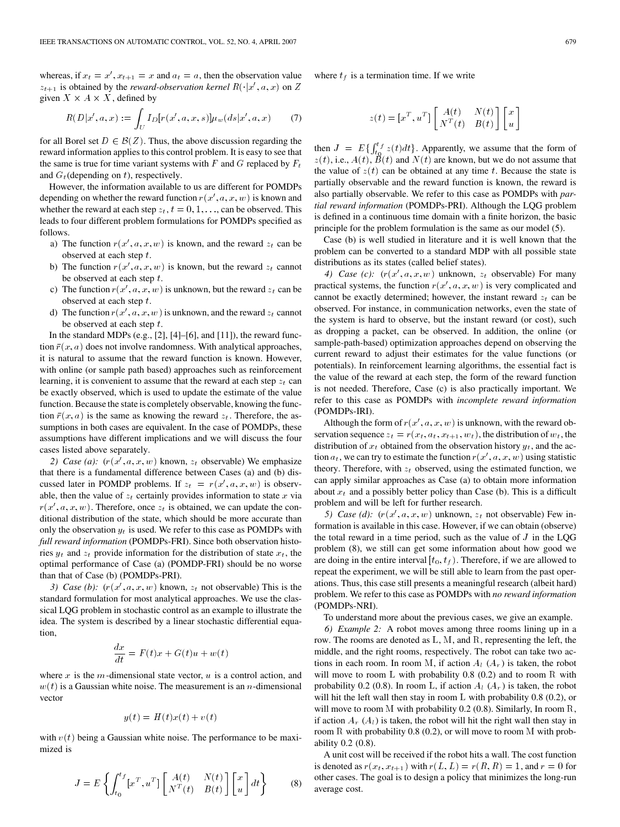whereas, if  $x_t = x'$ ,  $x_{t+1} = x$  and  $a_t = a$ , then the observation value  $z_{t+1}$  is obtained by the *reward-observation kernel*  $R(\cdot | x', a, x)$  on Z given  $X \times A \times X$ , defined by

$$
R(D|x', a, x) := \int_U I_D[r(x', a, x, s)] \mu_w(ds | x', a, x)
$$
 (7)

for all Borel set  $D \in \mathcal{B}(Z)$ . Thus, the above discussion regarding the reward information applies to this control problem. It is easy to see that the same is true for time variant systems with  $F$  and  $G$  replaced by  $F_t$ and  $G_t$ (depending on t), respectively.

However, the information available to us are different for POMDPs depending on whether the reward function  $r(x', a, x, w)$  is known and whether the reward at each step  $z_t$ ,  $t = 0, 1, \ldots$ , can be observed. This leads to four different problem formulations for POMDPs specified as follows.

- a) The function  $r(x', a, x, w)$  is known, and the reward  $z_t$  can be observed at each step t.
- b) The function  $r(x', a, x, w)$  is known, but the reward  $z_t$  cannot be observed at each step t.
- c) The function  $r(x', a, x, w)$  is unknown, but the reward  $z_t$  can be observed at each step t.
- d) The function  $r(x', a, x, w)$  is unknown, and the reward  $z_t$  cannot be observed at each step t.

In the standard MDPs (e.g.,  $[2]$ ,  $[4]$ – $[6]$ , and  $[11]$ ), the reward function  $\bar{r}(x, a)$  does not involve randomness. With analytical approaches, it is natural to assume that the reward function is known. However, with online (or sample path based) approaches such as reinforcement learning, it is convenient to assume that the reward at each step  $z_t$  can be exactly observed, which is used to update the estimate of the value function. Because the state is completely observable, knowing the function  $\bar{r}(x, a)$  is the same as knowing the reward  $z_t$ . Therefore, the assumptions in both cases are equivalent. In the case of POMDPs, these assumptions have different implications and we will discuss the four cases listed above separately.

2) *Case (a):*  $(r(x', a, x, w)$  known,  $z_t$  observable) We emphasize that there is a fundamental difference between Cases (a) and (b) discussed later in POMDP problems. If  $z_t = r(x', a, x, w)$  is observable, then the value of  $z_t$  certainly provides information to state x via  $r(x', a, x, w)$ . Therefore, once  $z_t$  is obtained, we can update the conditional distribution of the state, which should be more accurate than only the observation  $y_t$  is used. We refer to this case as POMDPs with *full reward information* (POMDPs-FRI). Since both observation histories  $y_t$  and  $z_t$  provide information for the distribution of state  $x_t$ , the optimal performance of Case (a) (POMDP-FRI) should be no worse than that of Case (b) (POMDPs-PRI).

3) Case (b):  $(r(x', a, x, w)$  known,  $z_t$  not observable) This is the standard formulation for most analytical approaches. We use the classical LQG problem in stochastic control as an example to illustrate the idea. The system is described by a linear stochastic differential equation,

$$
\frac{dx}{dt} = F(t)x + G(t)u + w(t)
$$

where x is the m-dimensional state vector,  $u$  is a control action, and  $w(t)$  is a Gaussian white noise. The measurement is an *n*-dimensional vector

$$
y(t) = H(t)x(t) + v(t)
$$

with  $v(t)$  being a Gaussian white noise. The performance to be maximized is

$$
J = E\left\{ \int_{t_0}^{t_f} \left[ x^T, u^T \right] \begin{bmatrix} A(t) & N(t) \\ N^T(t) & B(t) \end{bmatrix} \begin{bmatrix} x \\ u \end{bmatrix} dt \right\}
$$
(8)

where  $t_f$  is a termination time. If we write

$$
z(t) = [x^T, u^T] \begin{bmatrix} A(t) & N(t) \\ N^T(t) & B(t) \end{bmatrix} \begin{bmatrix} x \\ u \end{bmatrix}
$$

then  $J = E\left\{\int_{t_0}^{t_f} z(t) dt\right\}$ . Apparently, we assume that the form of  $z(t)$ , i.e.,  $A(t)$ ,  $\tilde{B}(t)$  and  $N(t)$  are known, but we do not assume that the value of  $z(t)$  can be obtained at any time t. Because the state is partially observable and the reward function is known, the reward is also partially observable. We refer to this case as POMDPs with *partial reward information* (POMDPs-PRI). Although the LQG problem is defined in a continuous time domain with a finite horizon, the basic principle for the problem formulation is the same as our model [\(5\)](#page-1-0).

Case (b) is well studied in literature and it is well known that the problem can be converted to a standard MDP with all possible state distributions as its states (called belief states).

4) Case (c):  $(r(x', a, x, w)$  unknown,  $z_t$  observable) For many practical systems, the function  $r(x', a, x, w)$  is very complicated and cannot be exactly determined; however, the instant reward  $z_t$  can be observed. For instance, in communication networks, even the state of the system is hard to observe, but the instant reward (or cost), such as dropping a packet, can be observed. In addition, the online (or sample-path-based) optimization approaches depend on observing the current reward to adjust their estimates for the value functions (or potentials). In reinforcement learning algorithms, the essential fact is the value of the reward at each step, the form of the reward function is not needed. Therefore, Case (c) is also practically important. We refer to this case as POMDPs with *incomplete reward information* (POMDPs-IRI).

Although the form of  $r(x', a, x, w)$  is unknown, with the reward observation sequence  $z_t = r(x_t, a_t, x_{t+1}, w_t)$ , the distribution of  $w_t$ , the distribution of  $x_t$  obtained from the observation history  $y_t$ , and the action  $a_t$ , we can try to estimate the function  $r(x', a, x, w)$  using statistic theory. Therefore, with  $z_t$  observed, using the estimated function, we can apply similar approaches as Case (a) to obtain more information about  $x_t$  and a possibly better policy than Case (b). This is a difficult problem and will be left for further research.

5) Case (d):  $(r(x', a, x, w)$  unknown,  $z_t$  not observable) Few information is available in this case. However, if we can obtain (observe) the total reward in a time period, such as the value of  $J$  in the LQG problem (8), we still can get some information about how good we are doing in the entire interval  $[t_0, t_f)$ . Therefore, if we are allowed to repeat the experiment, we will be still able to learn from the past operations. Thus, this case still presents a meaningful research (albeit hard) problem. We refer to this case as POMDPs with *no reward information* (POMDPs-NRI).

To understand more about the previous cases, we give an example.

*6) Example 2:* A robot moves among three rooms lining up in a row. The rooms are denoted as L, M, and R, representing the left, the middle, and the right rooms, respectively. The robot can take two actions in each room. In room M, if action  $A_l$   $(A_r)$  is taken, the robot will move to room L with probability 0.8 (0.2) and to room R with probability 0.2 (0.8). In room L, if action  $A_l$  ( $A_r$ ) is taken, the robot will hit the left wall then stay in room L with probability 0.8 (0.2), or will move to room M with probability 0.2 (0.8). Similarly, In room R, if action  $A_r(A_l)$  is taken, the robot will hit the right wall then stay in room R with probability 0.8 (0.2), or will move to room M with probability 0.2 (0.8).

A unit cost will be received if the robot hits a wall. The cost function is denoted as  $r(x_t, x_{t+1})$  with  $r(L, L) = r(R, R) = 1$ , and  $r = 0$  for other cases. The goal is to design a policy that minimizes the long-run average cost.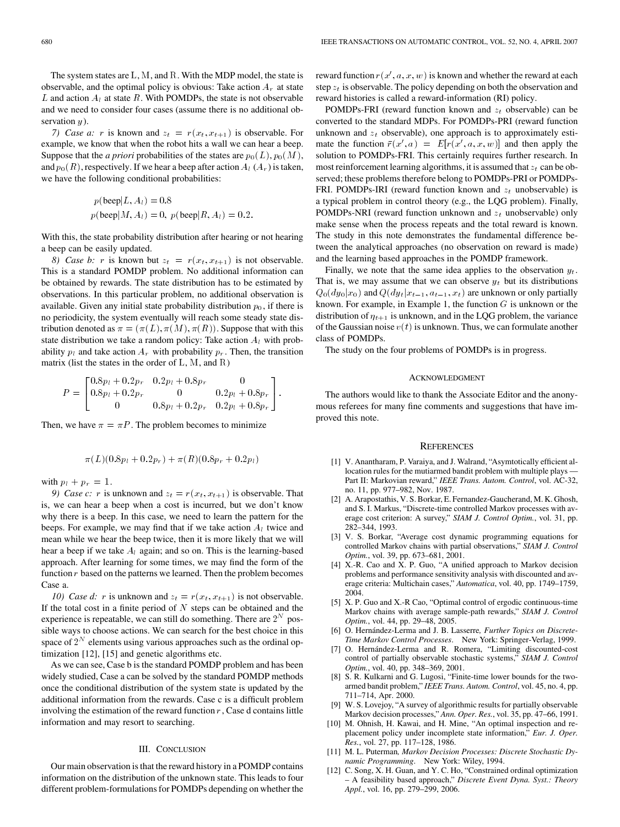<span id="page-3-0"></span>The system states are L, M, and R. With the MDP model, the state is observable, and the optimal policy is obvious: Take action  $A_r$  at state L and action  $A_l$  at state R. With POMDPs, the state is not observable and we need to consider four cases (assume there is no additional observation  $y$ ).

*7) Case a:* r is known and  $z_t = r(x_t, x_{t+1})$  is observable. For example, we know that when the robot hits a wall we can hear a beep. Suppose that the *a priori* probabilities of the states are  $p_0(L)$ ,  $p_0(M)$ , and  $p_0(R)$ , respectively. If we hear a beep after action  $A_l(A_r)$  is taken, we have the following conditional probabilities:

$$
p(\text{beep}|L, A_l) = 0.8
$$
  

$$
p(\text{beep}|M, A_l) = 0, p(\text{beep}|R, A_l) = 0.2.
$$

With this, the state probability distribution after hearing or not hearing a beep can be easily updated.

*8) Case b: r* is known but  $z_t = r(x_t, x_{t+1})$  is not observable. This is a standard POMDP problem. No additional information can be obtained by rewards. The state distribution has to be estimated by observations. In this particular problem, no additional observation is available. Given any initial state probability distribution  $p_0$ , if there is no periodicity, the system eventually will reach some steady state distribution denoted as  $\pi = (\pi(L), \pi(M), \pi(R))$ . Suppose that with this state distribution we take a random policy: Take action  $A_l$  with probability  $p_l$  and take action  $A_r$  with probability  $p_r$ . Then, the transition matrix (list the states in the order of  $L, M$ , and  $R$ )

$$
P = \begin{bmatrix} 0.8p_l + 0.2p_r & 0.2p_l + 0.8p_r & 0 \\ 0.8p_l + 0.2p_r & 0 & 0.2p_l + 0.8p_r \\ 0 & 0.8p_l + 0.2p_r & 0.2p_l + 0.8p_r \end{bmatrix}
$$

:

Then, we have  $\pi = \pi P$ . The problem becomes to minimize

$$
\pi(L)(0.8p_l + 0.2p_r) + \pi(R)(0.8p_r + 0.2p_l)
$$

with  $p_l + p_r = 1$ .

*9) Case c:* r is unknown and  $z_t = r(x_t, x_{t+1})$  is observable. That is, we can hear a beep when a cost is incurred, but we don't know why there is a beep. In this case, we need to learn the pattern for the beeps. For example, we may find that if we take action  $A_l$  twice and mean while we hear the beep twice, then it is more likely that we will hear a beep if we take  $A_l$  again; and so on. This is the learning-based approach. After learning for some times, we may find the form of the function  $r$  based on the patterns we learned. Then the problem becomes Case a.

*10) Case d:* r is unknown and  $z_t = r(x_t, x_{t+1})$  is not observable. If the total cost in a finite period of  $N$  steps can be obtained and the experience is repeatable, we can still do something. There are  $2^N$  possible ways to choose actions. We can search for the best choice in this space of  $2^N$  elements using various approaches such as the ordinal optimization [12], [\[15\]](#page-4-0) and genetic algorithms etc.

As we can see, Case b is the standard POMDP problem and has been widely studied, Case a can be solved by the standard POMDP methods once the conditional distribution of the system state is updated by the additional information from the rewards. Case c is a difficult problem involving the estimation of the reward function  $r$ , Case d contains little information and may resort to searching.

## III. CONCLUSION

Our main observation is that the reward history in a POMDP contains information on the distribution of the unknown state. This leads to four different problem-formulations for POMDPs depending on whether the

reward function  $r(x', a, x, w)$  is known and whether the reward at each step  $z_t$  is observable. The policy depending on both the observation and reward histories is called a reward-information (RI) policy.

POMDPs-FRI (reward function known and  $z_t$  observable) can be converted to the standard MDPs. For POMDPs-PRI (reward function unknown and  $z_t$  observable), one approach is to approximately estimate the function  $\overline{r}(x', a) = E[r(x', a, x, w)]$  and then apply the solution to POMDPs-FRI. This certainly requires further research. In most reinforcement learning algorithms, it is assumed that  $z_t$  can be observed; these problems therefore belong to POMDPs-PRI or POMDPs-FRI. POMDPs-IRI (reward function known and  $z_t$  unobservable) is a typical problem in control theory (e.g., the LQG problem). Finally, POMDPs-NRI (reward function unknown and  $z_t$  unobservable) only make sense when the process repeats and the total reward is known. The study in this note demonstrates the fundamental difference between the analytical approaches (no observation on reward is made) and the learning based approaches in the POMDP framework.

Finally, we note that the same idea applies to the observation  $y_t$ . That is, we may assume that we can observe  $y_t$  but its distributions  $Q_0(dy_0|x_0)$  and  $Q(dy_t|x_{t-1}, a_{t-1}, x_t)$  are unknown or only partially known. For example, in Example 1, the function  $G$  is unknown or the distribution of  $\eta_{t+1}$  is unknown, and in the LQG problem, the variance of the Gaussian noise  $v(t)$  is unknown. Thus, we can formulate another class of POMDPs.

The study on the four problems of POMDPs is in progress.

## ACKNOWLEDGMENT

The authors would like to thank the Associate Editor and the anonymous referees for many fine comments and suggestions that have improved this note.

#### **REFERENCES**

- [1] V. Anantharam, P. Varaiya, and J. Walrand, "Asymtotically efficient allocation rules for the mutiarmed bandit problem with multiple plays — Part II: Markovian reward," *IEEE Trans. Autom. Control*, vol. AC-32, no. 11, pp. 977–982, Nov. 1987.
- [2] A. Arapostathis, V. S. Borkar, E. Fernandez-Gaucherand, M. K. Ghosh, and S. I. Markus, "Discrete-time controlled Markov processes with average cost criterion: A survey," *SIAM J. Control Optim.*, vol. 31, pp. 282–344, 1993.
- [3] V. S. Borkar, "Average cost dynamic programming equations for controlled Markov chains with partial observations," *SIAM J. Control Optim.*, vol. 39, pp. 673–681, 2001.
- [4] X.-R. Cao and X. P. Guo, "A unified approach to Markov decision problems and performance sensitivity analysis with discounted and average criteria: Multichain cases," *Automatica*, vol. 40, pp. 1749–1759, 2004.
- [5] X. P. Guo and X.-R Cao, "Optimal control of ergodic continuous-time Markov chains with average sample-path rewards," *SIAM J. Control Optim.*, vol. 44, pp. 29–48, 2005.
- [6] O. Hernández-Lerma and J. B. Lasserre*, Further Topics on Discrete-Time Markov Control Processes*. New York: Springer-Verlag, 1999.
- [7] O. Hernández-Lerma and R. Romera, "Limiting discounted-cost control of partially observable stochastic systems," *SIAM J. Control Optim.*, vol. 40, pp. 348–369, 2001.
- [8] S. R. Kulkarni and G. Lugosi, "Finite-time lower bounds for the twoarmed bandit problem," *IEEE Trans. Autom. Control*, vol. 45, no. 4, pp. 711–714, Apr. 2000.
- W. S. Lovejoy, "A survey of algorithmic results for partially observable Markov decision processes," *Ann. Oper. Res.*, vol. 35, pp. 47–66, 1991.
- [10] M. Ohnish, H. Kawai, and H. Mine, "An optimal inspection and replacement policy under incomplete state information," *Eur. J. Oper. Res.*, vol. 27, pp. 117–128, 1986.
- [11] M. L. Puterman*, Markov Decision Processes: Discrete Stochastic Dynamic Programming*. New York: Wiley, 1994.
- [12] C. Song, X. H. Guan, and Y. C. Ho, "Constrained ordinal optimization – A feasibility based approach," *Discrete Event Dyna. Syst.: Theory Appl.*, vol. 16, pp. 279–299, 2006.